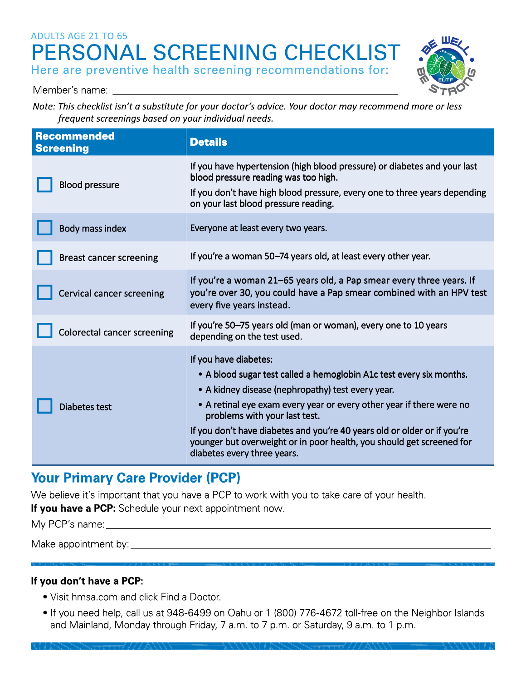# ADULTS AGE 21 TO 65 **PERSONAL SCREENING CHECKLIST**  Here are preventive health screening recommendations for:



Member's name: ------------------------ *Note: This checklist isn't a substitute for your doctor's advice. Your doctor may recommend more or less frequent screenings based on your individual needs.* 

| <b>Recommended</b><br><b>Screening</b> | <b>Details</b>                                                                                                                                                                                                                                                                                                                                                                                                                                 |
|----------------------------------------|------------------------------------------------------------------------------------------------------------------------------------------------------------------------------------------------------------------------------------------------------------------------------------------------------------------------------------------------------------------------------------------------------------------------------------------------|
| <b>Blood pressure</b>                  | If you have hypertension (high blood pressure) or diabetes and your last<br>blood pressure reading was too high.<br>If you don't have high blood pressure, every one to three years depending<br>on your last blood pressure reading.                                                                                                                                                                                                          |
| Body mass index                        | Everyone at least every two years.                                                                                                                                                                                                                                                                                                                                                                                                             |
| <b>Breast cancer screening</b>         | If you're a woman 50–74 years old, at least every other year.                                                                                                                                                                                                                                                                                                                                                                                  |
| <b>Cervical cancer screening</b>       | If you're a woman 21-65 years old, a Pap smear every three years. If<br>you're over 30, you could have a Pap smear combined with an HPV test<br>every five years instead.                                                                                                                                                                                                                                                                      |
| <b>Colorectal cancer screening</b>     | If you're 50–75 years old (man or woman), every one to 10 years<br>depending on the test used.                                                                                                                                                                                                                                                                                                                                                 |
| Diabetes test                          | If you have diabetes:<br>• A blood sugar test called a hemoglobin A1c test every six months.<br>• A kidney disease (nephropathy) test every year.<br>• A retinal eye exam every year or every other year if there were no<br>problems with your last test.<br>If you don't have diabetes and you're 40 years old or older or if you're<br>younger but overweight or in poor health, you should get screened for<br>diabetes every three years. |

# **Your Primary Care Provider (PCP)**

We believe it's important that you have a PCP to work with you to take care of your health.

**If you have a PCP:** Schedule your next appointment now.

My PCP's name: \_\_\_\_\_\_\_\_\_\_\_\_\_\_\_\_\_\_\_\_\_\_\_\_\_\_\_\_\_ \_

Make appointment by: \_\_\_\_\_\_\_\_\_\_\_\_\_\_\_\_\_\_\_\_\_\_\_\_\_\_\_\_ \_

# **If you don't have a PCP:**

• Visit hmsa.com and click Find a Doctor.

INN <del>& 111 1/</del> /// AW <del>} =</del>

• If you need help, call us at 948-6499 on Oahu or 1 (800) 776-4672 toll-free on the Neighbor Islands and Mainland, Monday through Friday, 7 a.m. to 7 p.m. or Saturday, 9 a.m. to 1 p.m.